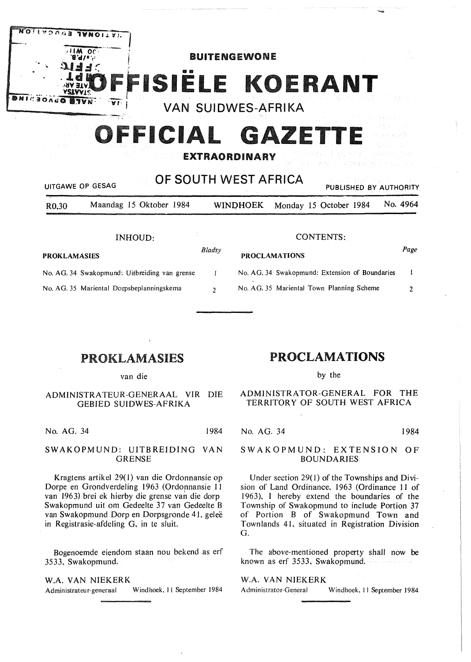

# OFFICIAL  $\mathbf G$

# **EXTRAORDINARY**

| OF SOUTH WEST AFRICA<br>그는 일을 하고 말고 있다. 그 사람들이 많이 들어 있다.<br>UITGAWE OP GESAG<br>PUBLISHED BY AUTHORITY |                                               |               |                                           |                                                |  |  |  |  |          |
|--------------------------------------------------------------------------------------------------------|-----------------------------------------------|---------------|-------------------------------------------|------------------------------------------------|--|--|--|--|----------|
| R <sub>0</sub> ,30                                                                                     | Maandag 15 Oktober 1984                       |               | <b>WINDHOEK</b>                           | Monday 15 October 1984                         |  |  |  |  | No. 4964 |
|                                                                                                        | INHOUD:                                       | CONTENTS:     |                                           |                                                |  |  |  |  |          |
| <b>PROKLAMASIES</b>                                                                                    |                                               | Bladsy        | <b>PROCLAMATIONS</b>                      |                                                |  |  |  |  | Page     |
|                                                                                                        | No. AG. 34 Swakopmund: Uitbreiding van grense |               |                                           | No. AG. 34 Swakopmund: Extension of Boundaries |  |  |  |  | -1       |
|                                                                                                        | No. AG. 35 Mariental Dorpsbeplanningskema     | $\mathcal{L}$ | No. AG. 35 Mariental Town Planning Scheme |                                                |  |  |  |  | 7        |

# **PROKLAMASIES**

van die

# ADMINISTRATEUR-GENERAAL VIR DIE **GEBIED SUIDWES-AFRIKA**

No. AG. 34 1984

#### SWAKOPMUND: UITBREIDING VAN **GRENSE**

Kragtens artikel 29(1) van die Ordonnansie op Dorpe en Grondverdeling 1963 (Ordonnansie 11 van 1963) brei ek hierby die grense van die dorp Swakopmund uit om Gedeelte 37 van Gedeelte B van Swakopmund Dorp en Dorpsgronde 41, geleë in Registrasie-afdeling G, in te sluit.

Bogenoemde eiendom staan nou bekend as erf 3533, Swakopmund.

W.A. VAN NIEKERK Administrateur-generaal Windhoek, 11 September 1984

# **PROCLAMATIONS**

by the

# ADMINISTRATOR-GENERAL FOR THE TERRITORY OF SOUTH WEST AFRICA

No. AG. 34

1984

#### SWAKOPMUND: EXTENSION OF **BOUNDARIES**

Under section 29(1) of the Townships and Division of Land Ordinance, 1963 (Ordinance 11 of 1963), I hereby extend the boundaries of the Township of Swakopmund to include Portion 37 of Portion B of Swakopmund Town and Townlands 41, situated in Registration Division G.

The above-mentioned property shall now be known as erf 3533, Swakopmund.

# W.A. VAN NIEKERK

Administrator-General Windhoek, 11 September 1984